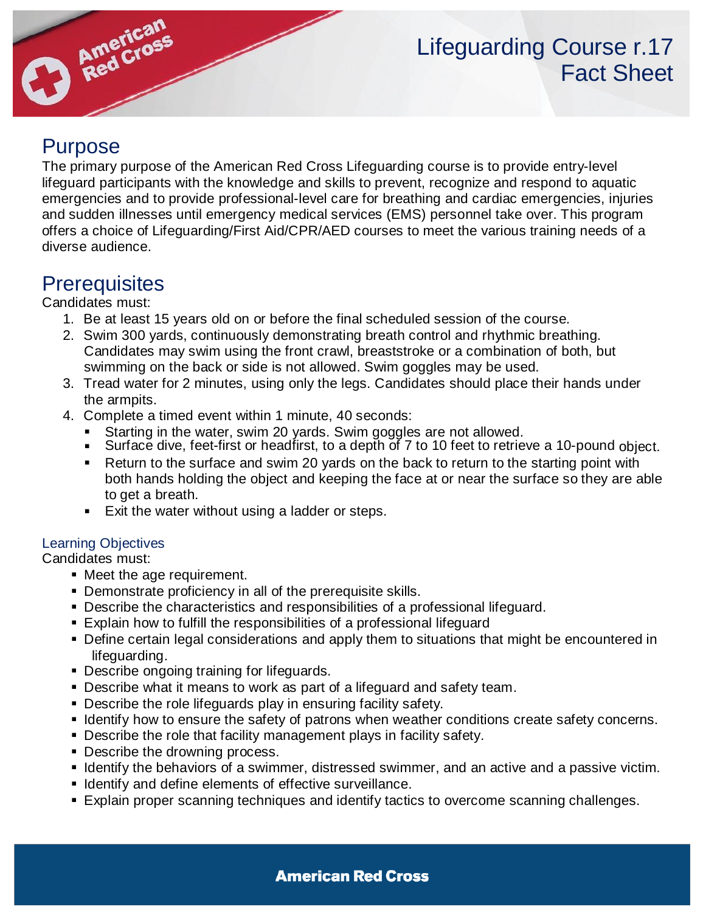

# Purpose

The primary purpose of the American Red Cross Lifeguarding course is to provide entry-level lifeguard participants with the knowledge and skills to prevent, recognize and respond to aquatic emergencies and to provide professional-level care for breathing and cardiac emergencies, injuries and sudden illnesses until emergency medical services (EMS) personnel take over. This program offers a choice of Lifeguarding/First Aid/CPR/AED courses to meet the various training needs of a diverse audience.

# **Prerequisites**

Candidates must:

- 1. Be at least 15 years old on or before the final scheduled session of the course.
- 2. Swim 300 yards, continuously demonstrating breath control and rhythmic breathing. Candidates may swim using the front crawl, breaststroke or a combination of both, but swimming on the back or side is not allowed. Swim goggles may be used.
- 3. Tread water for 2 minutes, using only the legs. Candidates should place their hands under the armpits.
- 4. Complete a timed event within 1 minute, 40 seconds:
	- Starting in the water, swim 20 yards. Swim goggles are not allowed.
	- Surface dive, feet-first or headfirst, to a depth of 7 to 10 feet to retrieve a 10-pound object.
	- Return to the surface and swim 20 yards on the back to return to the starting point with both hands holding the object and keeping the face at or near the surface so they are able to get a breath.
	- Exit the water without using a ladder or steps.

#### Learning Objectives

Candidates must:

- Meet the age requirement.
- Demonstrate proficiency in all of the prerequisite skills.
- Describe the characteristics and responsibilities of a professional lifeguard.
- Explain how to fulfill the responsibilities of a professional lifeguard
- **Define certain legal considerations and apply them to situations that might be encountered in** lifeguarding.
- Describe ongoing training for lifeguards.
- Describe what it means to work as part of a lifeguard and safety team.
- **Describe the role lifeguards play in ensuring facility safety.**
- **EXECT IDENT** Identify how to ensure the safety of patrons when weather conditions create safety concerns.
- Describe the role that facility management plays in facility safety.
- Describe the drowning process.
- **.** Identify the behaviors of a swimmer, distressed swimmer, and an active and a passive victim.
- Identify and define elements of effective surveillance.
- Explain proper scanning techniques and identify tactics to overcome scanning challenges.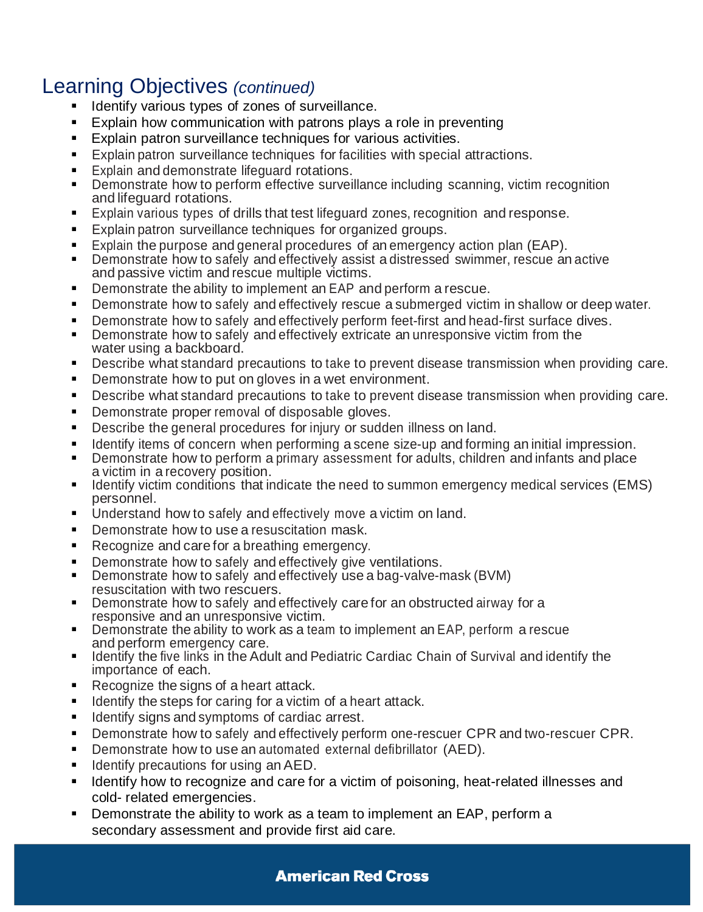## Learning Objectives *(continued)*

- Identify various types of zones of surveillance.
- Explain how communication with patrons plays a role in preventing
- Explain patron surveillance techniques for various activities.
- Explain patron surveillance techniques for facilities with special attractions.
- Explain and demonstrate lifeguard rotations.
- Demonstrate how to perform effective surveillance including scanning, victim recognition and lifeguard rotations.
- Explain various types of drills that test lifeguard zones, recognition and response.
- Explain patron surveillance techniques for organized groups.
- Explain the purpose and general procedures of an emergency action plan (EAP).
- Demonstrate how to safely and effectively assist a distressed swimmer, rescue an active and passive victim and rescue multiple victims.
- Demonstrate the ability to implement an EAP and perform a rescue.
- Demonstrate how to safely and effectively rescue a submerged victim in shallow or deep water.
- **•** Demonstrate how to safely and effectively perform feet-first and head-first surface dives.
- Demonstrate how to safely and effectively extricate an unresponsive victim from the water using a backboard.
- Describe what standard precautions to take to prevent disease transmission when providing care.
- Demonstrate how to put on gloves in a wet environment.
- Describe what standard precautions to take to prevent disease transmission when providing care.
- Demonstrate proper removal of disposable gloves.
- Describe the general procedures for injury or sudden illness on land.
- Identify items of concern when performing a scene size-up and forming an initial impression.
- Demonstrate how to perform a primary assessment for adults, children and infants and place a victim in a recovery position.
- Identify victim conditions that indicate the need to summon emergency medical services (EMS) personnel.
- Understand how to safely and effectively move a victim on land.
- Demonstrate how to use a resuscitation mask.
- Recognize and care for a breathing emergency.
- Demonstrate how to safely and effectively give ventilations.
- Demonstrate how to safely and effectively use a bag-valve-mask (BVM) resuscitation with two rescuers.
- Demonstrate how to safely and effectively care for an obstructed airway for a responsive and an unresponsive victim.
- Demonstrate the ability to work as a team to implement an EAP, perform a rescue and perform emergency care.
- **EXECT** Identify the five links in the Adult and Pediatric Cardiac Chain of Survival and identify the importance of each.
- Recognize the signs of a heart attack.
- Identify the steps for caring for a victim of a heart attack.
- **EXECUTE:** Identify signs and symptoms of cardiac arrest.
- **Demonstrate how to safely and effectively perform one-rescuer CPR and two-rescuer CPR.**
- Demonstrate how to use an automated external defibrillator (AED).
- Identify precautions for using an AED.
- Identify how to recognize and care for a victim of poisoning, heat-related illnesses and cold- related emergencies.
- Demonstrate the ability to work as a team to implement an EAP, perform a secondary assessment and provide first aid care.

#### **American Red Cross**